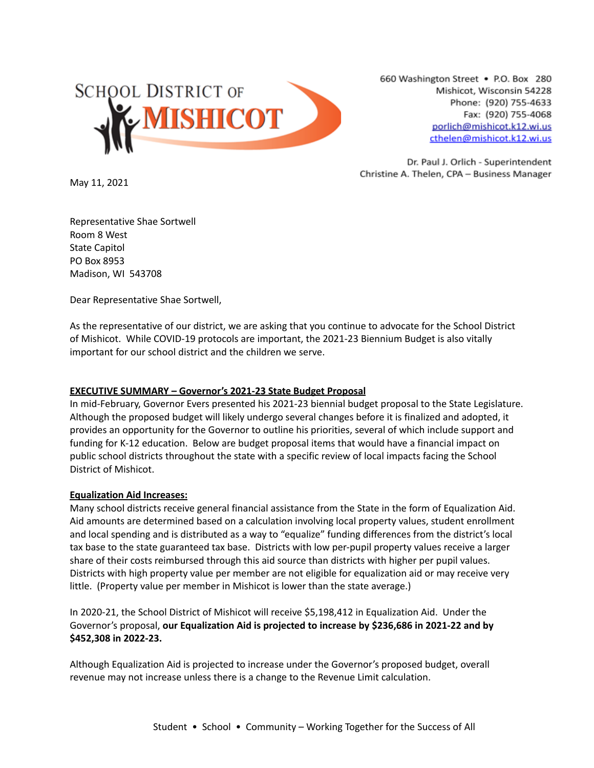

660 Washington Street . P.O. Box 280 Mishicot, Wisconsin 54228 Phone: (920) 755-4633 Fax: (920) 755-4068 porlich@mishicot.k12.wi.us cthelen@mishicot.k12.wi.us

Dr. Paul J. Orlich - Superintendent Christine A. Thelen, CPA - Business Manager

May 11, 2021

Representative Shae Sortwell Room 8 West State Capitol PO Box 8953 Madison, WI 543708

Dear Representative Shae Sortwell,

As the representative of our district, we are asking that you continue to advocate for the School District of Mishicot. While COVID-19 protocols are important, the 2021-23 Biennium Budget is also vitally important for our school district and the children we serve.

# **EXECUTIVE SUMMARY – Governor's 2021-23 State Budget Proposal**

In mid-February, Governor Evers presented his 2021-23 biennial budget proposal to the State Legislature. Although the proposed budget will likely undergo several changes before it is finalized and adopted, it provides an opportunity for the Governor to outline his priorities, several of which include support and funding for K-12 education. Below are budget proposal items that would have a financial impact on public school districts throughout the state with a specific review of local impacts facing the School District of Mishicot.

#### **Equalization Aid Increases:**

Many school districts receive general financial assistance from the State in the form of Equalization Aid. Aid amounts are determined based on a calculation involving local property values, student enrollment and local spending and is distributed as a way to "equalize" funding differences from the district's local tax base to the state guaranteed tax base. Districts with low per-pupil property values receive a larger share of their costs reimbursed through this aid source than districts with higher per pupil values. Districts with high property value per member are not eligible for equalization aid or may receive very little. (Property value per member in Mishicot is lower than the state average.)

In 2020-21, the School District of Mishicot will receive \$5,198,412 in Equalization Aid. Under the Governor's proposal, **our Equalization Aid is projected to increase by \$236,686 in 2021-22 and by \$452,308 in 2022-23.**

Although Equalization Aid is projected to increase under the Governor's proposed budget, overall revenue may not increase unless there is a change to the Revenue Limit calculation.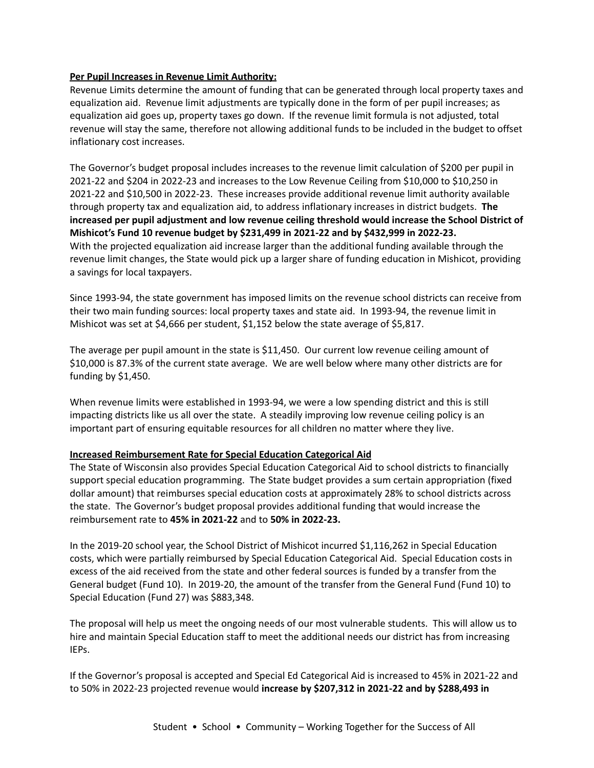## **Per Pupil Increases in Revenue Limit Authority:**

Revenue Limits determine the amount of funding that can be generated through local property taxes and equalization aid. Revenue limit adjustments are typically done in the form of per pupil increases; as equalization aid goes up, property taxes go down. If the revenue limit formula is not adjusted, total revenue will stay the same, therefore not allowing additional funds to be included in the budget to offset inflationary cost increases.

The Governor's budget proposal includes increases to the revenue limit calculation of \$200 per pupil in 2021-22 and \$204 in 2022-23 and increases to the Low Revenue Ceiling from \$10,000 to \$10,250 in 2021-22 and \$10,500 in 2022-23. These increases provide additional revenue limit authority available through property tax and equalization aid, to address inflationary increases in district budgets. **The increased per pupil adjustment and low revenue ceiling threshold would increase the School District of Mishicot's Fund 10 revenue budget by \$231,499 in 2021-22 and by \$432,999 in 2022-23.** With the projected equalization aid increase larger than the additional funding available through the revenue limit changes, the State would pick up a larger share of funding education in Mishicot, providing a savings for local taxpayers.

Since 1993-94, the state government has imposed limits on the revenue school districts can receive from their two main funding sources: local property taxes and state aid. In 1993-94, the revenue limit in Mishicot was set at \$4,666 per student, \$1,152 below the state average of \$5,817.

The average per pupil amount in the state is \$11,450. Our current low revenue ceiling amount of \$10,000 is 87.3% of the current state average. We are well below where many other districts are for funding by \$1,450.

When revenue limits were established in 1993-94, we were a low spending district and this is still impacting districts like us all over the state. A steadily improving low revenue ceiling policy is an important part of ensuring equitable resources for all children no matter where they live.

#### **Increased Reimbursement Rate for Special Education Categorical Aid**

The State of Wisconsin also provides Special Education Categorical Aid to school districts to financially support special education programming. The State budget provides a sum certain appropriation (fixed dollar amount) that reimburses special education costs at approximately 28% to school districts across the state. The Governor's budget proposal provides additional funding that would increase the reimbursement rate to **45% in 2021-22** and to **50% in 2022-23.**

In the 2019-20 school year, the School District of Mishicot incurred \$1,116,262 in Special Education costs, which were partially reimbursed by Special Education Categorical Aid. Special Education costs in excess of the aid received from the state and other federal sources is funded by a transfer from the General budget (Fund 10). In 2019-20, the amount of the transfer from the General Fund (Fund 10) to Special Education (Fund 27) was \$883,348.

The proposal will help us meet the ongoing needs of our most vulnerable students. This will allow us to hire and maintain Special Education staff to meet the additional needs our district has from increasing IEPs.

If the Governor's proposal is accepted and Special Ed Categorical Aid is increased to 45% in 2021-22 and to 50% in 2022-23 projected revenue would **increase by \$207,312 in 2021-22 and by \$288,493 in**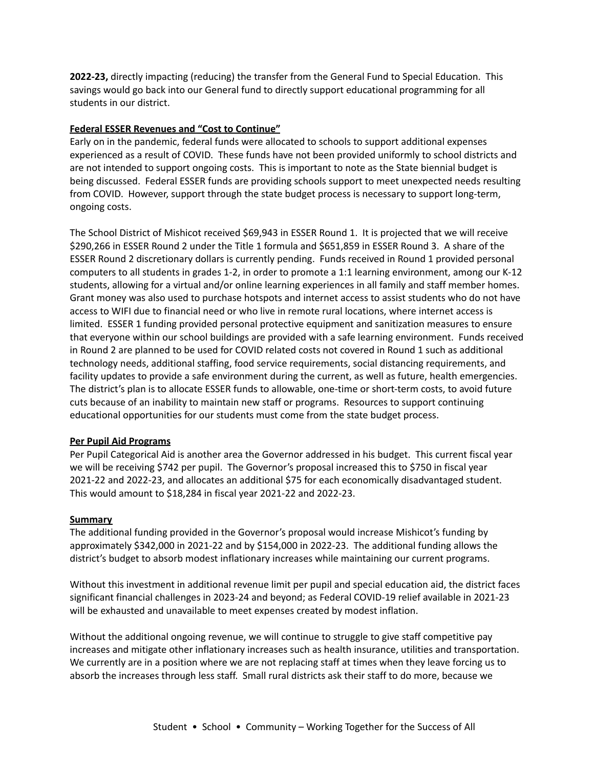**2022-23,** directly impacting (reducing) the transfer from the General Fund to Special Education. This savings would go back into our General fund to directly support educational programming for all students in our district.

### **Federal ESSER Revenues and "Cost to Continue"**

Early on in the pandemic, federal funds were allocated to schools to support additional expenses experienced as a result of COVID. These funds have not been provided uniformly to school districts and are not intended to support ongoing costs. This is important to note as the State biennial budget is being discussed. Federal ESSER funds are providing schools support to meet unexpected needs resulting from COVID. However, support through the state budget process is necessary to support long-term, ongoing costs.

The School District of Mishicot received \$69,943 in ESSER Round 1. It is projected that we will receive \$290,266 in ESSER Round 2 under the Title 1 formula and \$651,859 in ESSER Round 3. A share of the ESSER Round 2 discretionary dollars is currently pending. Funds received in Round 1 provided personal computers to all students in grades 1-2, in order to promote a 1:1 learning environment, among our K-12 students, allowing for a virtual and/or online learning experiences in all family and staff member homes. Grant money was also used to purchase hotspots and internet access to assist students who do not have access to WIFI due to financial need or who live in remote rural locations, where internet access is limited. ESSER 1 funding provided personal protective equipment and sanitization measures to ensure that everyone within our school buildings are provided with a safe learning environment. Funds received in Round 2 are planned to be used for COVID related costs not covered in Round 1 such as additional technology needs, additional staffing, food service requirements, social distancing requirements, and facility updates to provide a safe environment during the current, as well as future, health emergencies. The district's plan is to allocate ESSER funds to allowable, one-time or short-term costs, to avoid future cuts because of an inability to maintain new staff or programs. Resources to support continuing educational opportunities for our students must come from the state budget process.

#### **Per Pupil Aid Programs**

Per Pupil Categorical Aid is another area the Governor addressed in his budget. This current fiscal year we will be receiving \$742 per pupil. The Governor's proposal increased this to \$750 in fiscal year 2021-22 and 2022-23, and allocates an additional \$75 for each economically disadvantaged student. This would amount to \$18,284 in fiscal year 2021-22 and 2022-23.

#### **Summary**

The additional funding provided in the Governor's proposal would increase Mishicot's funding by approximately \$342,000 in 2021-22 and by \$154,000 in 2022-23. The additional funding allows the district's budget to absorb modest inflationary increases while maintaining our current programs.

Without this investment in additional revenue limit per pupil and special education aid, the district faces significant financial challenges in 2023-24 and beyond; as Federal COVID-19 relief available in 2021-23 will be exhausted and unavailable to meet expenses created by modest inflation.

Without the additional ongoing revenue, we will continue to struggle to give staff competitive pay increases and mitigate other inflationary increases such as health insurance, utilities and transportation. We currently are in a position where we are not replacing staff at times when they leave forcing us to absorb the increases through less staff. Small rural districts ask their staff to do more, because we